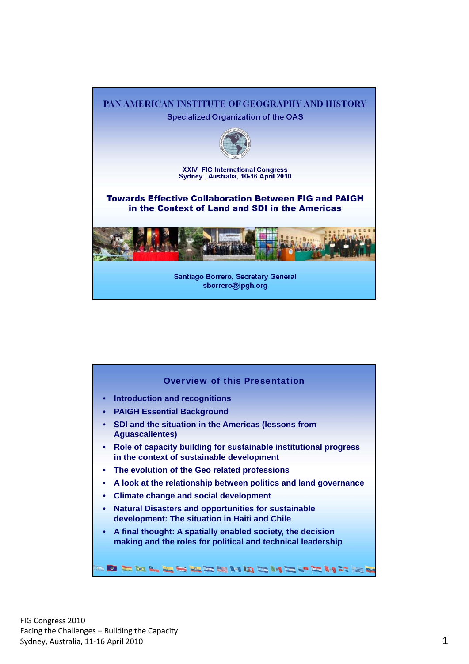

| <b>Overview of this Presentation</b>                                                                                                   |
|----------------------------------------------------------------------------------------------------------------------------------------|
| <b>Introduction and recognitions</b><br>$\bullet$                                                                                      |
| • PAIGH Essential Background                                                                                                           |
| SDI and the situation in the Americas (lessons from<br><b>Aguascalientes)</b>                                                          |
| • Role of capacity building for sustainable institutional progress<br>in the context of sustainable development                        |
| • The evolution of the Geo related professions                                                                                         |
| A look at the relationship between politics and land governance<br>٠                                                                   |
| <b>Climate change and social development</b>                                                                                           |
| <b>Natural Disasters and opportunities for sustainable</b><br>$\bullet$<br>development: The situation in Haiti and Chile               |
| A final thought: A spatially enabled society, the decision<br>$\bullet$<br>making and the roles for political and technical leadership |
| O TOLLERZHIOZNIC-1                                                                                                                     |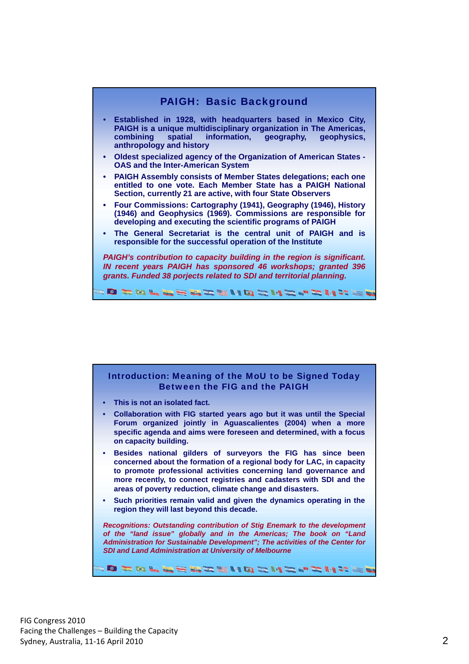

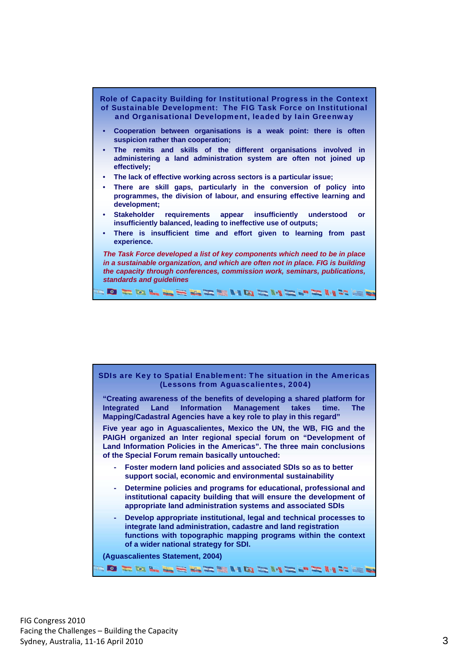



**"Creating awareness of the benefits of developing a shared platform for Integrated Land Information Management takes time. The Mapping/Cadastral Agencies have a key role to play in this regard"** 

**Five year ago in Aguascalientes, Mexico the UN, the WB, FIG and the PAIGH organized an Inter regional special forum on "Development of Land Information Policies in the Americas". The three main conclusions of the Special Forum remain basically untouched:** 

- **Foster modern land policies and associated SDIs so as to better support social, economic and environmental sustainability**
- **Determine policies and programs for educational, professional and institutional capacity building that will ensure the development of appropriate land administration systems and associated SDIs**
- **Develop appropriate institutional, legal and technical processes to integrate land administration, cadastre and land registration functions with topographic mapping programs within the context of a wider national strategy for SDI.**

**SOROL EEMARMORMAD IN 2021** 

**(Aguascalientes Statement, 2004)**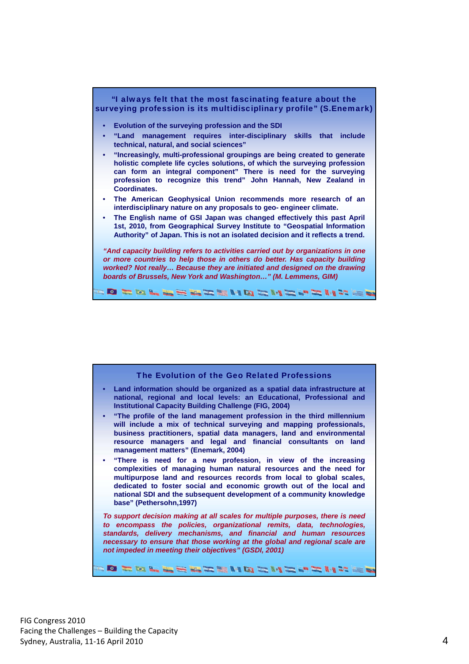

| The Evolution of the Geo Related Professions<br>• Land information should be organized as a spatial data infrastructure at<br>national, regional and local levels: an Educational, Professional and<br><b>Institutional Capacity Building Challenge (FIG, 2004)</b><br>"The profile of the land management profession in the third millennium<br>$\bullet$<br>will include a mix of technical surveying and mapping professionals,<br>business practitioners, spatial data managers, land and environmental<br>resource managers and legal and financial consultants on land<br>management matters" (Enemark, 2004)<br>"There is need for a new profession, in view of the increasing<br>$\bullet$<br>complexities of managing human natural resources and the need for<br>multipurpose land and resources records from local to global scales,<br>dedicated to foster social and economic growth out of the local and<br>national SDI and the subsequent development of a community knowledge<br>base" (Pethersohn, 1997)<br>To support decision making at all scales for multiple purposes, there is need<br>to encompass the policies, organizational remits, data, technologies,<br>standards, delivery mechanisms, and financial and human resources<br>necessary to ensure that those working at the global and regional scale are<br>not impeded in meeting their objectives" (GSDI, 2001)<br>FORD FOREST REAL PORT AND FOR |  |  |
|------------------------------------------------------------------------------------------------------------------------------------------------------------------------------------------------------------------------------------------------------------------------------------------------------------------------------------------------------------------------------------------------------------------------------------------------------------------------------------------------------------------------------------------------------------------------------------------------------------------------------------------------------------------------------------------------------------------------------------------------------------------------------------------------------------------------------------------------------------------------------------------------------------------------------------------------------------------------------------------------------------------------------------------------------------------------------------------------------------------------------------------------------------------------------------------------------------------------------------------------------------------------------------------------------------------------------------------------------------------------------------------------------------------------------------|--|--|
|                                                                                                                                                                                                                                                                                                                                                                                                                                                                                                                                                                                                                                                                                                                                                                                                                                                                                                                                                                                                                                                                                                                                                                                                                                                                                                                                                                                                                                    |  |  |
|                                                                                                                                                                                                                                                                                                                                                                                                                                                                                                                                                                                                                                                                                                                                                                                                                                                                                                                                                                                                                                                                                                                                                                                                                                                                                                                                                                                                                                    |  |  |
|                                                                                                                                                                                                                                                                                                                                                                                                                                                                                                                                                                                                                                                                                                                                                                                                                                                                                                                                                                                                                                                                                                                                                                                                                                                                                                                                                                                                                                    |  |  |
|                                                                                                                                                                                                                                                                                                                                                                                                                                                                                                                                                                                                                                                                                                                                                                                                                                                                                                                                                                                                                                                                                                                                                                                                                                                                                                                                                                                                                                    |  |  |
|                                                                                                                                                                                                                                                                                                                                                                                                                                                                                                                                                                                                                                                                                                                                                                                                                                                                                                                                                                                                                                                                                                                                                                                                                                                                                                                                                                                                                                    |  |  |
|                                                                                                                                                                                                                                                                                                                                                                                                                                                                                                                                                                                                                                                                                                                                                                                                                                                                                                                                                                                                                                                                                                                                                                                                                                                                                                                                                                                                                                    |  |  |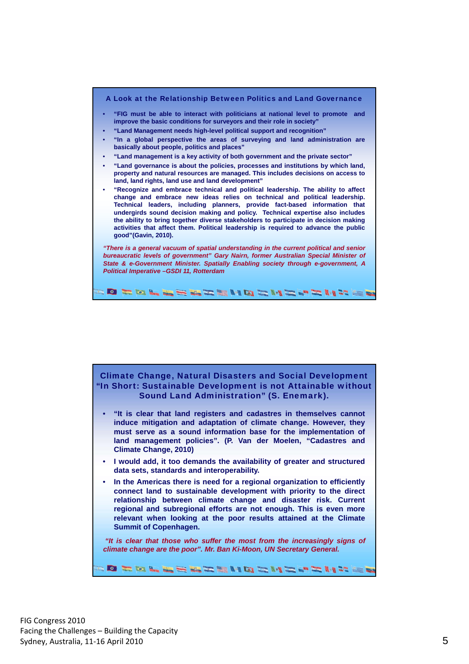



- **"It is clear that land registers and cadastres in themselves cannot induce mitigation and adaptation of climate change. However, they must serve as a sound information base for the implementation of land management policies". (P. Van der Moelen, "Cadastres and Climate Change, 2010)**
- **I would add, it too demands the availability of greater and structured data sets, standards and interoperability.**
- **In the Americas there is need for a regional organization to efficiently connect land to sustainable development with priority to the direct relationship between climate change and disaster risk. Current regional and subregional efforts are not enough. This is even more relevant when looking at the poor results attained at the Climate Summit of Copenhagen.**

 *"It is clear that those who suffer the most from the increasingly signs of climate change are the poor". Mr. Ban Ki-Moon, UN Secretary General.* 

**DEDLEEMENDEMEPENTE**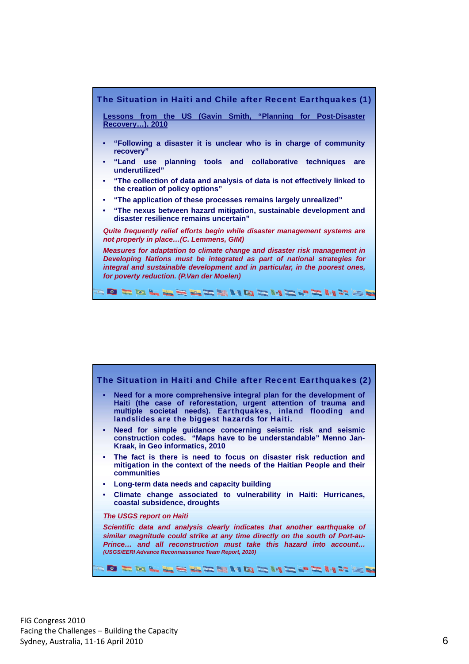

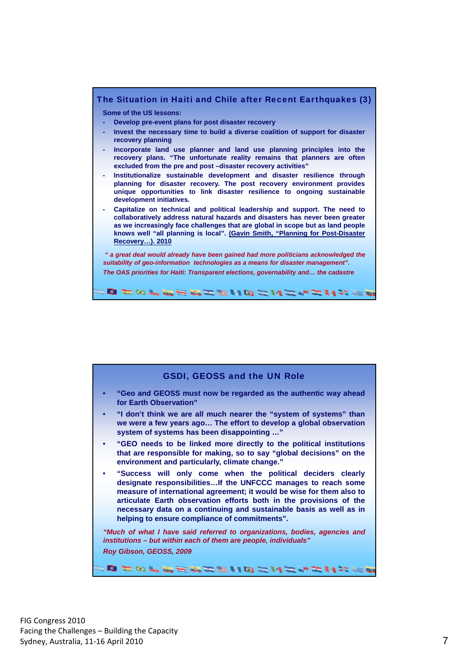

| <b>GSDI, GEOSS and the UN Role</b>                                                                                                                                                                                                                                                                                                                                                                 |
|----------------------------------------------------------------------------------------------------------------------------------------------------------------------------------------------------------------------------------------------------------------------------------------------------------------------------------------------------------------------------------------------------|
| • "Geo and GEOSS must now be regarded as the authentic way ahead<br>for Earth Observation"                                                                                                                                                                                                                                                                                                         |
| "I don't think we are all much nearer the "system of systems" than<br>$\bullet$<br>we were a few years ago The effort to develop a global observation<br>system of systems has been disappointing "                                                                                                                                                                                                |
| "GEO needs to be linked more directly to the political institutions<br>$\bullet$<br>that are responsible for making, so to say "global decisions" on the<br>environment and particularly, climate change."                                                                                                                                                                                         |
| "Success will only come when the political deciders clearly<br>designate responsibilitiesIf the UNFCCC manages to reach some<br>measure of international agreement; it would be wise for them also to<br>articulate Earth observation efforts both in the provisions of the<br>necessary data on a continuing and sustainable basis as well as in<br>helping to ensure compliance of commitments". |
| "Much of what I have said referred to organizations, bodies, agencies and<br>institutions - but within each of them are people, individuals"<br>Roy Gibson, GEOSS, 2009                                                                                                                                                                                                                            |
| FORD HOLES BREEN QRIVE. THAT E                                                                                                                                                                                                                                                                                                                                                                     |